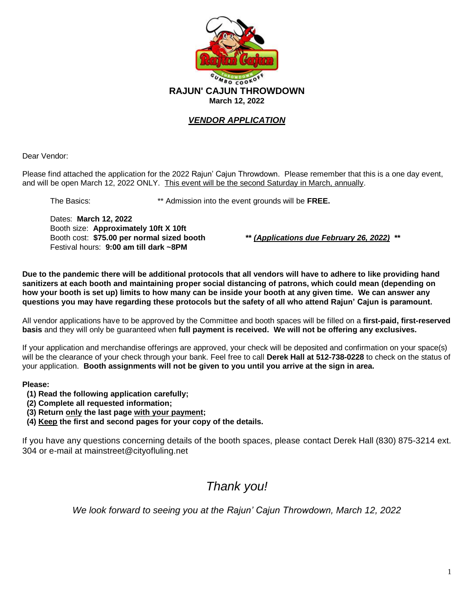

## *VENDOR APPLICATION*

Dear Vendor:

Please find attached the application for the 2022 Rajun' Cajun Throwdown. Please remember that this is a one day event, and will be open March 12, 2022 ONLY. This event will be the second Saturday in March, annually.

The Basics: \*\* Admission into the event grounds will be **FREE.**

Dates: **March 12, 2022** Booth size: **Approximately 10ft X 10ft** Booth cost: **\$75.00 per normal sized booth \*\*** *(Applications due February 26, 2022)* **\*\*** Festival hours: **9:00 am till dark ~8PM**

**Due to the pandemic there will be additional protocols that all vendors will have to adhere to like providing hand sanitizers at each booth and maintaining proper social distancing of patrons, which could mean (depending on how your booth is set up) limits to how many can be inside your booth at any given time. We can answer any questions you may have regarding these protocols but the safety of all who attend Rajun' Cajun is paramount.**

All vendor applications have to be approved by the Committee and booth spaces will be filled on a **first-paid, first-reserved basis** and they will only be guaranteed when **full payment is received. We will not be offering any exclusives.**

If your application and merchandise offerings are approved, your check will be deposited and confirmation on your space(s) will be the clearance of your check through your bank. Feel free to call **Derek Hall at 512-738-0228** to check on the status of your application. **Booth assignments will not be given to you until you arrive at the sign in area.**

**Please:** 

- **(1) Read the following application carefully;**
- **(2) Complete all requested information;**
- **(3) Return only the last page with your payment;**
- **(4) Keep the first and second pages for your copy of the details.**

If you have any questions concerning details of the booth spaces, please contact Derek Hall (830) 875-3214 ext. 304 or e-mail at mainstreet@cityofluling.net

# *Thank you!*

*We look forward to seeing you at the Rajun' Cajun Throwdown, March 12, 2022*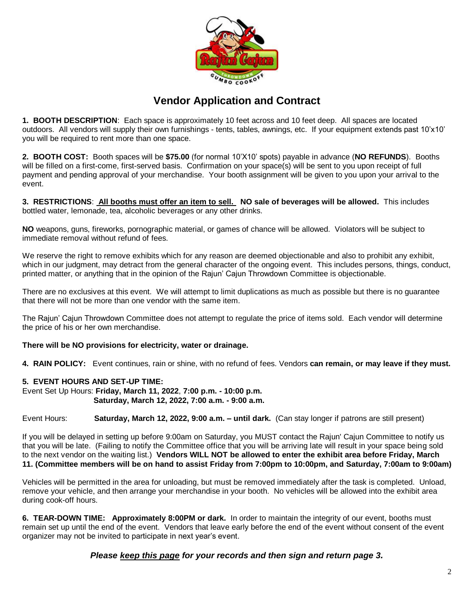

# **Vendor Application and Contract**

**1. BOOTH DESCRIPTION**: Each space is approximately 10 feet across and 10 feet deep. All spaces are located outdoors. All vendors will supply their own furnishings - tents, tables, awnings, etc. If your equipment extends past 10'x10' you will be required to rent more than one space.

**2. BOOTH COST:** Booth spaces will be **\$75.00** (for normal 10'X10' spots) payable in advance (**NO REFUNDS**). Booths will be filled on a first-come, first-served basis. Confirmation on your space(s) will be sent to you upon receipt of full payment and pending approval of your merchandise. Your booth assignment will be given to you upon your arrival to the event.

**3. RESTRICTIONS**: **All booths must offer an item to sell. NO sale of beverages will be allowed.** This includes bottled water, lemonade, tea, alcoholic beverages or any other drinks.

**NO** weapons, guns, fireworks, pornographic material, or games of chance will be allowed. Violators will be subject to immediate removal without refund of fees.

We reserve the right to remove exhibits which for any reason are deemed objectionable and also to prohibit any exhibit, which in our judgment, may detract from the general character of the ongoing event. This includes persons, things, conduct, printed matter, or anything that in the opinion of the Rajun' Cajun Throwdown Committee is objectionable.

There are no exclusives at this event. We will attempt to limit duplications as much as possible but there is no guarantee that there will not be more than one vendor with the same item.

The Rajun' Cajun Throwdown Committee does not attempt to regulate the price of items sold. Each vendor will determine the price of his or her own merchandise.

#### **There will be NO provisions for electricity, water or drainage.**

**4. RAIN POLICY:** Event continues, rain or shine, with no refund of fees. Vendors **can remain, or may leave if they must.**

#### **5. EVENT HOURS AND SET-UP TIME:**

Event Set Up Hours: **Friday, March 11, 2022**, **7:00 p.m. - 10:00 p.m. Saturday, March 12, 2022, 7:00 a.m. - 9:00 a.m.**

Event Hours: **Saturday, March 12, 2022, 9:00 a.m. – until dark.** (Can stay longer if patrons are still present)

If you will be delayed in setting up before 9:00am on Saturday, you MUST contact the Rajun' Cajun Committee to notify us that you will be late. (Failing to notify the Committee office that you will be arriving late will result in your space being sold to the next vendor on the waiting list.) **Vendors WILL NOT be allowed to enter the exhibit area before Friday, March 11. (Committee members will be on hand to assist Friday from 7:00pm to 10:00pm, and Saturday, 7:00am to 9:00am)**

Vehicles will be permitted in the area for unloading, but must be removed immediately after the task is completed. Unload, remove your vehicle, and then arrange your merchandise in your booth. No vehicles will be allowed into the exhibit area during cook-off hours.

**6. TEAR-DOWN TIME: Approximately 8:00PM or dark.** In order to maintain the integrity of our event, booths must remain set up until the end of the event. Vendors that leave early before the end of the event without consent of the event organizer may not be invited to participate in next year's event.

## *Please keep this page for your records and then sign and return page 3.*